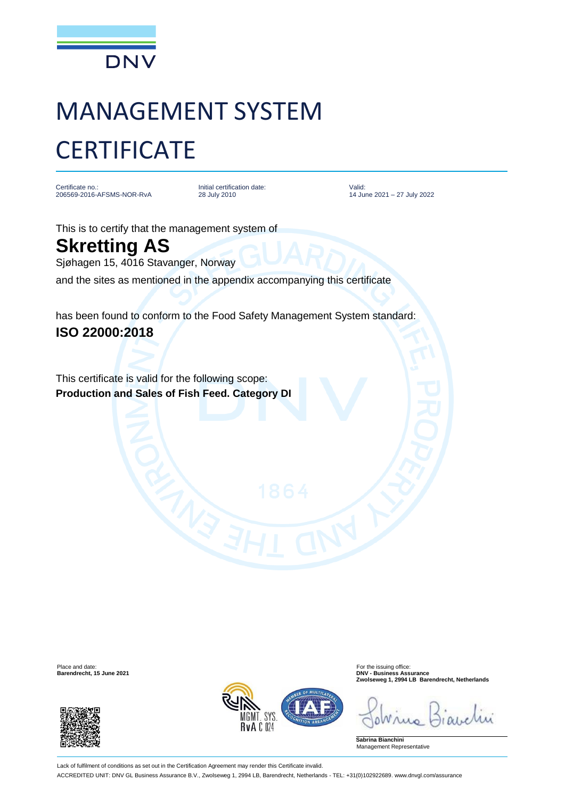

## MANAGEMENT SYSTEM **CERTIFICATE**

Certificate no.: 206569-2016-AFSMS-NOR-RvA Initial certification date: 28 July 2010

Valid: 14 June 2021 – 27 July 2022

This is to certify that the management system of

**Skretting AS** Sjøhagen 15, 4016 Stavanger, Norway

and the sites as mentioned in the appendix accompanying this certificate

has been found to conform to the Food Safety Management System standard: **ISO 22000:2018**

This certificate is valid for the following scope: **Production and Sales of Fish Feed. Category DI**





Place and date: For the issuing office: **Barendrecht, 15 June 2021 DNV - Business Assurance Zwolseweg 1, 2994 LB Barendrecht, Netherlands**

**Sabrina Bianchini** Management Representative

Lack of fulfilment of conditions as set out in the Certification Agreement may render this Certificate invalid. ACCREDITED UNIT: DNV GL Business Assurance B.V., Zwolseweg 1, 2994 LB, Barendrecht, Netherlands - TEL: +31(0)102922689. www.dnvgl.com/assurance